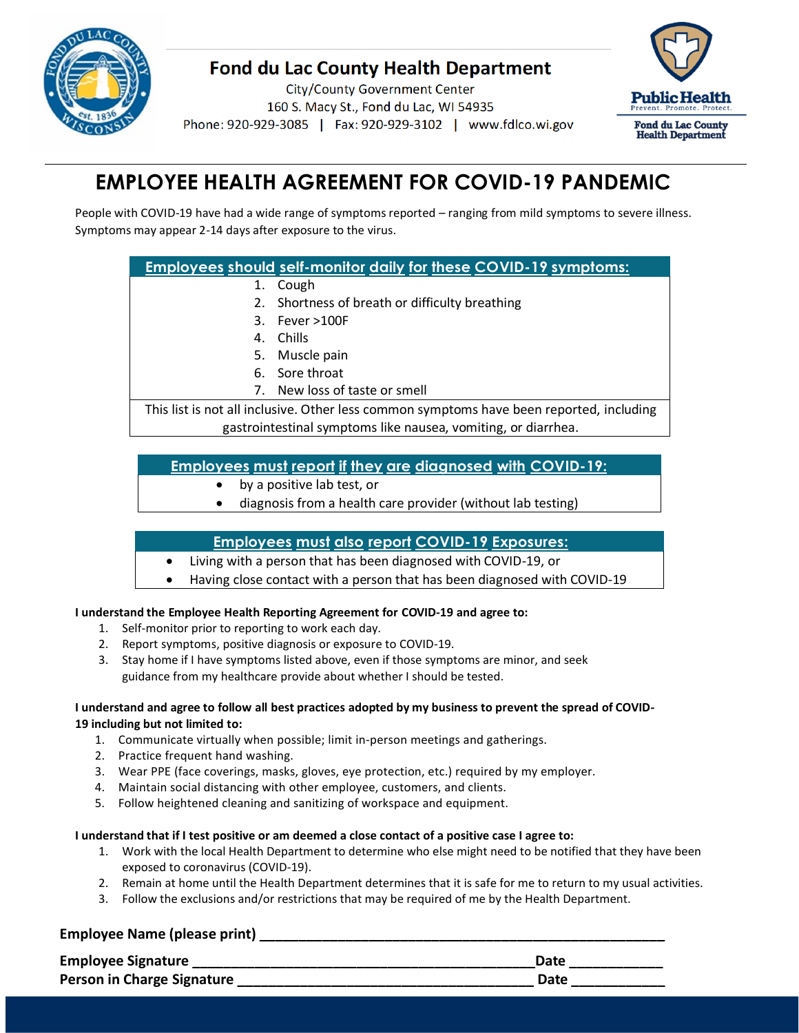

# **Fond du Lac County Health Department**

**City/County Government Center** 160 S. Macy St., Fond du Lac, WI 54935 Phone: 920-929-3085 | Fax: 920-929-3102 | www.fdlco.wi.gov



# **EMPLOYEE HEALTH AGREEMENT FOR COVID-19 PANDEMIC**

People with COVID-19 have had a wide range of symptoms reported – ranging from mild symptoms to severe illness. Symptoms may appear 2-14 days after exposure to the virus.

# **Employees should self-monitor daily for these COVID-19 symptoms:**

- 1. Cough
- 2. Shortness of breath or difficulty breathing
- 3. Fever >100F
- 4. Chills
- 5. Muscle pain
- 6. Sore throat
- 7. New loss of taste or smell

This list is not all inclusive. Other less common symptoms have been reported, including gastrointestinal symptoms like nausea, vomiting, or diarrhea.

## **Employees must report if they are diagnosed with COVID-19:**

- by a positive lab test, or
- diagnosis from a health care provider (without lab testing)

## **Employees must also report COVID-19 Exposures:**

- Living with a person that has been diagnosed with COVID-19, or
- Having close contact with a person that has been diagnosed with COVID-19

#### **I understand the Employee Health Reporting Agreement for COVID-19 and agree to:**

- 1. Self-monitor prior to reporting to work each day.
- 2. Report symptoms, positive diagnosis or exposure to COVID-19.
- 3. Stay home if I have symptoms listed above, even if those symptoms are minor, and seek guidance from my healthcare provide about whether I should be tested.

#### I understand and agree to follow all best practices adopted by my business to prevent the spread of COVID-**19 including but not limited to:**

- 1. Communicate virtually when possible; limit in-person meetings and gatherings.
- 2. Practice frequent hand washing.
- 3. Wear PPE (face coverings, masks, gloves, eye protection, etc.) required by my employer.
- 4. Maintain social distancing with other employee, customers, and clients.
- 5. Follow heightened cleaning and sanitizing of workspace and equipment.

#### **I understand that if I test positive or am deemed a close contact of a positive case I agree to:**

- 1. Work with the local Health Department to determine who else might need to be notified that they have been exposed to coronavirus (COVID-19).
- 2. Remain at home until the Health Department determines that it is safe for me to return to my usual activities.
- 3. Follow the exclusions and/or restrictions that may be required of me by the Health Department.

## **Employee Name (please print) \_\_\_\_\_\_\_\_\_\_\_\_\_\_\_\_\_\_\_\_\_\_\_\_\_\_\_\_\_\_\_\_\_\_\_\_\_\_\_\_\_\_\_\_\_\_\_\_\_\_\_\_**

| <b>Employee Signature</b>  | Date |
|----------------------------|------|
| Person in Charge Signature | Date |